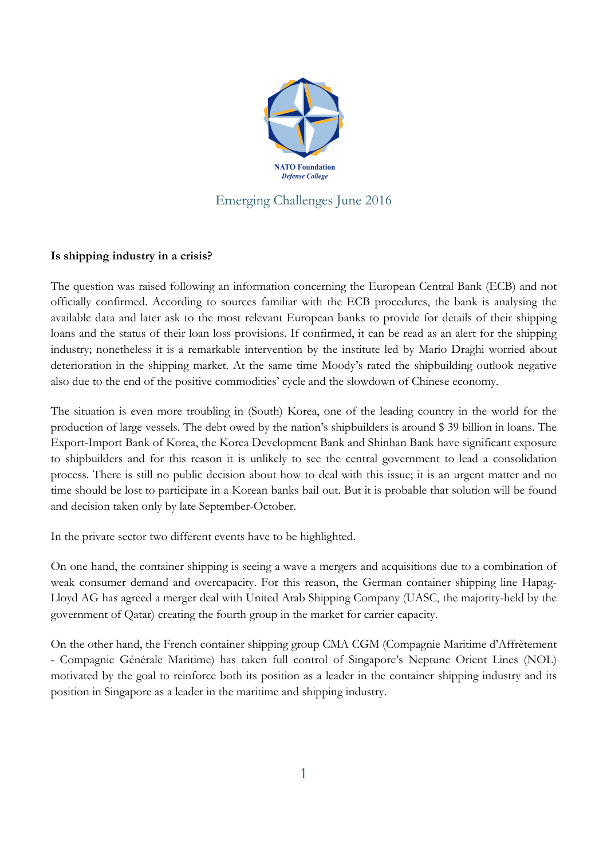

## **Is shipping industry in a crisis?**

The question was raised following an information concerning the European Central Bank (ECB) and not officially confirmed. According to sources familiar with the ECB procedures, the bank is analysing the available data and later ask to the most relevant European banks to provide for details of their shipping loans and the status of their loan loss provisions. If confirmed, it can be read as an alert for the shipping industry; nonetheless it is a remarkable intervention by the institute led by Mario Draghi worried about deterioration in the shipping market. At the same time Moody's rated the shipbuilding outlook negative also due to the end of the positive commodities' cycle and the slowdown of Chinese economy.

The situation is even more troubling in (South) Korea, one of the leading country in the world for the production of large vessels. The debt owed by the nation's shipbuilders is around \$ 39 billion in loans. The Export-Import Bank of Korea, the Korea Development Bank and Shinhan Bank have significant exposure to shipbuilders and for this reason it is unlikely to see the central government to lead a consolidation process. There is still no public decision about how to deal with this issue; it is an urgent matter and no time should be lost to participate in a Korean banks bail out. But it is probable that solution will be found and decision taken only by late September-October.

In the private sector two different events have to be highlighted.

On one hand, the container shipping is seeing a wave a mergers and acquisitions due to a combination of weak consumer demand and overcapacity. For this reason, the German container shipping line Hapag-Lloyd AG has agreed a merger deal with United Arab Shipping Company (UASC, the majority-held by the government of Qatar) creating the fourth group in the market for carrier capacity.

On the other hand, the French container shipping group CMA CGM (Compagnie Maritime d'Affrètement - Compagnie Générale Maritime) has taken full control of Singapore's Neptune Orient Lines (NOL) motivated by the goal to reinforce both its position as a leader in the container shipping industry and its position in Singapore as a leader in the maritime and shipping industry.